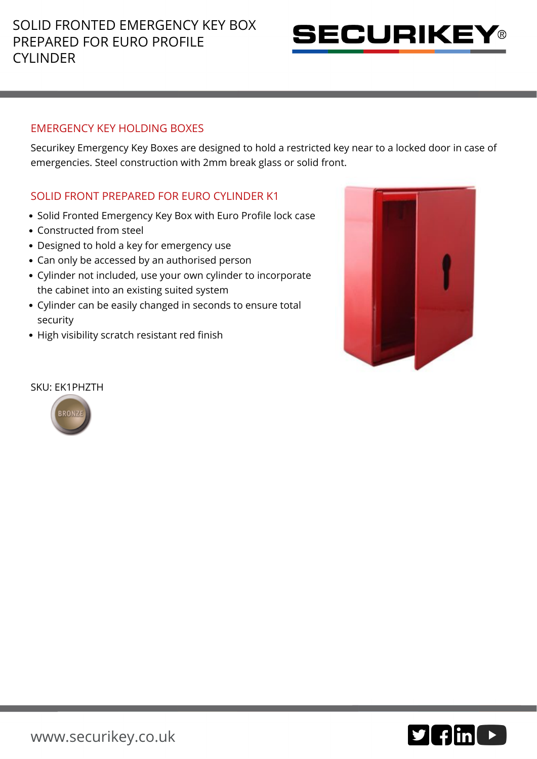# SOLID FRONTED EMERGENCY KEY BOX PREPARED FOR EURO PROFILE CYLINDER



### EMERGENCY KEY HOLDING BOXES

Securikey Emergency Key Boxes are designed to hold a restricted key near to a locked door in case of emergencies. Steel construction with 2mm break glass or solid front.

## SOLID FRONT PREPARED FOR EURO CYLINDER K1

- Solid Fronted Emergency Key Box with Euro Profile lock case
- Constructed from steel
- Designed to hold a key for emergency use
- Can only be accessed by an authorised person
- Cylinder not included, use your own cylinder to incorporate the cabinet into an existing suited system
- Cylinder can be easily changed in seconds to ensure total security
- High visibility scratch resistant red finish



#### SKU: EK1PHZTH



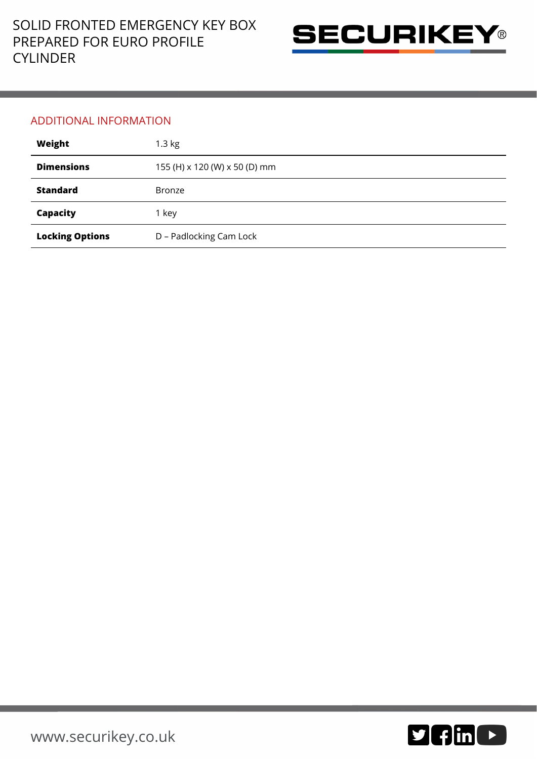

### ADDITIONAL INFORMATION

| Weight                 | $1.3$ kg                      |
|------------------------|-------------------------------|
| <b>Dimensions</b>      | 155 (H) x 120 (W) x 50 (D) mm |
| <b>Standard</b>        | <b>Bronze</b>                 |
| Capacity               | 1 key                         |
| <b>Locking Options</b> | D - Padlocking Cam Lock       |

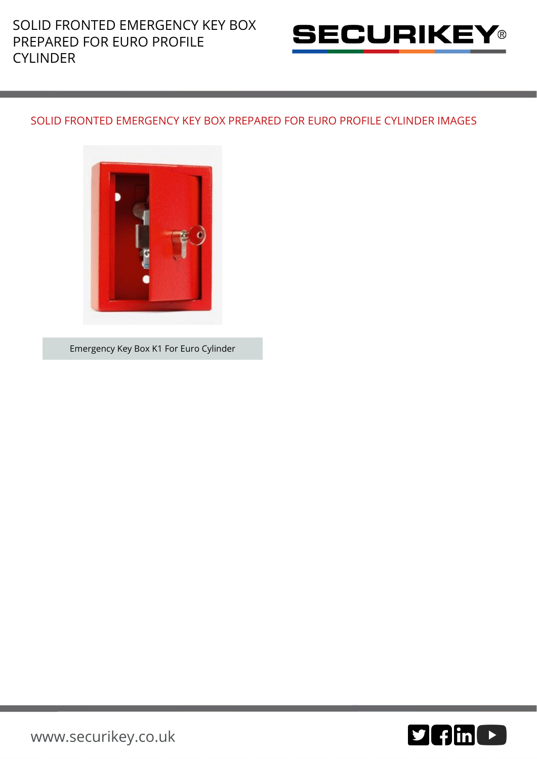

### SOLID FRONTED EMERGENCY KEY BOX PREPARED FOR EURO PROFILE CYLINDER IMAGES



Emergency Key Box K1 For Euro Cylinder